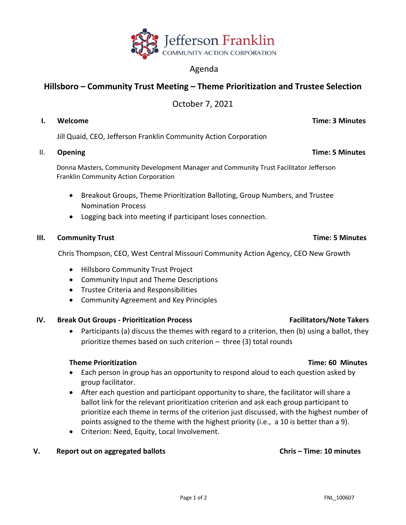

# Agenda

# **Hillsboro – Community Trust Meeting – Theme Prioritization and Trustee Selection**

October 7, 2021

Jill Quaid, CEO, Jefferson Franklin Community Action Corporation

# II. Opening **Time: 5 Minutes**

 Donna Masters, Community Development Manager and Community Trust Facilitator Jefferson Franklin Community Action Corporation

- Breakout Groups, Theme Prioritization Balloting, Group Numbers, and Trustee Nomination Process
- Logging back into meeting if participant loses connection.

# **III. Community Trust Time: 5 Minutes**

Chris Thompson, CEO, West Central Missouri Community Action Agency, CEO New Growth

- Hillsboro Community Trust Project
- Community Input and Theme Descriptions
- Trustee Criteria and Responsibilities
- Community Agreement and Key Principles

# **IV.** Break Out Groups - Prioritization Process Facilitators/Note Takers

• Participants (a) discuss the themes with regard to a criterion, then (b) using a ballot, they prioritize themes based on such criterion – three (3) total rounds

### **Theme Prioritization Time: 60 Minutes**

- Each person in group has an opportunity to respond aloud to each question asked by group facilitator.
- After each question and participant opportunity to share, the facilitator will share a ballot link for the relevant prioritization criterion and ask each group participant to prioritize each theme in terms of the criterion just discussed, with the highest number of points assigned to the theme with the highest priority (i.e., a 10 is better than a 9).
- Criterion: Need, Equity, Local Involvement.

# **V. Report out on aggregated ballots Chris – Time: 10 minutes**

### Page 1 of 2 FNL\_100607

# **I. Welcome Time: 3 Minutes**